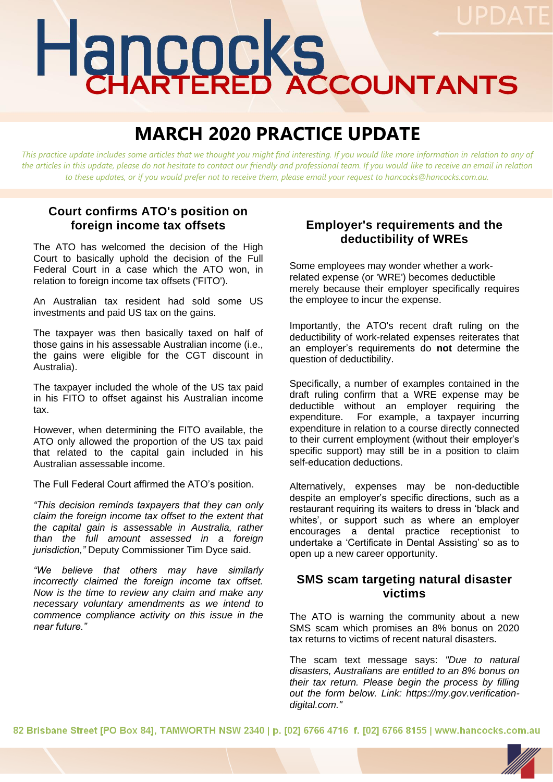# Hancocks

# **MARCH 2020 PRACTICE UPDATE**

*This practice update includes some articles that we thought you might find interesting. If you would like more information in relation to any of the articles in this update, please do not hesitate to contact our friendly and professional team. If you would like to receive an email in relation to these updates, or if you would prefer not to receive them, please email your request to hancocks@hancocks.com.au.* 

## **Court confirms ATO's position on foreign income tax offsets**

The ATO has welcomed the decision of the High Court to basically uphold the decision of the Full Federal Court in a case which the ATO won, in relation to foreign income tax offsets ('FITO').

An Australian tax resident had sold some US investments and paid US tax on the gains.

The taxpayer was then basically taxed on half of those gains in his assessable Australian income (i.e., the gains were eligible for the CGT discount in Australia).

The taxpayer included the whole of the US tax paid in his FITO to offset against his Australian income tax.

However, when determining the FITO available, the ATO only allowed the proportion of the US tax paid that related to the capital gain included in his Australian assessable income.

The Full Federal Court affirmed the ATO's position.

*"This decision reminds taxpayers that they can only claim the foreign income tax offset to the extent that the capital gain is assessable in Australia, rather than the full amount assessed in a foreign jurisdiction,"* Deputy Commissioner Tim Dyce said.

*"We believe that others may have similarly incorrectly claimed the foreign income tax offset. Now is the time to review any claim and make any necessary voluntary amendments as we intend to commence compliance activity on this issue in the near future."*

### **Employer's requirements and the deductibility of WREs**

Some employees may wonder whether a workrelated expense (or 'WRE') becomes deductible merely because their employer specifically requires the employee to incur the expense.

Importantly, the ATO's recent draft ruling on the deductibility of work-related expenses reiterates that an employer's requirements do **not** determine the question of deductibility.

Specifically, a number of examples contained in the draft ruling confirm that a WRE expense may be deductible without an employer requiring the expenditure. For example, a taxpayer incurring expenditure in relation to a course directly connected to their current employment (without their employer's specific support) may still be in a position to claim self-education deductions.

Alternatively, expenses may be non-deductible despite an employer's specific directions, such as a restaurant requiring its waiters to dress in 'black and whites', or support such as where an employer encourages a dental practice receptionist to undertake a 'Certificate in Dental Assisting' so as to open up a new career opportunity.

### **SMS scam targeting natural disaster victims**

The ATO is warning the community about a new SMS scam which promises an 8% bonus on 2020 tax returns to victims of recent natural disasters.

The scam text message says: *"Due to natural disasters, Australians are entitled to an 8% bonus on their tax return. Please begin the process by filling out the form below. Link: https://my.gov.verificationdigital.com."*

82 Brisbane Street [PO Box 84], TAMWORTH NSW 2340 | p. [02] 6766 4716 f. [02] 6766 8155 | www.hancocks.com.au